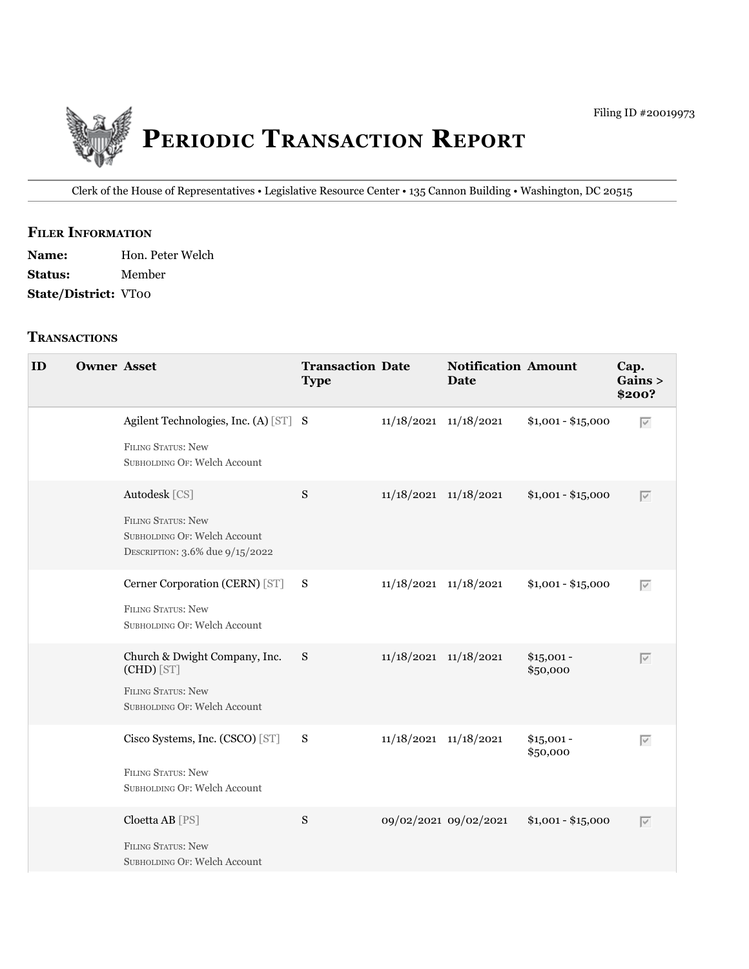

Clerk of the House of Representatives • Legislative Resource Center • 135 Cannon Building • Washington, DC 20515

### **fIler INfOrmATION**

Name: Hon. Peter Welch **Status:** Member **State/District:** VT00

### **TrANSACTIONS**

| ID | <b>Owner Asset</b> |                                                                                                          | <b>Transaction Date</b><br><b>Type</b> |                           | <b>Notification Amount</b><br>Date |                         | Cap.<br>Gains ><br>\$200? |
|----|--------------------|----------------------------------------------------------------------------------------------------------|----------------------------------------|---------------------------|------------------------------------|-------------------------|---------------------------|
|    |                    | Agilent Technologies, Inc. (A) [ST] S<br><b>FILING STATUS: New</b><br>SUBHOLDING OF: Welch Account       |                                        | $11/18/2021$ $11/18/2021$ |                                    | $$1,001 - $15,000$      | $\overline{\vee}$         |
|    |                    | Autodesk [CS]<br>FILING STATUS: New<br>SUBHOLDING OF: Welch Account<br>DESCRIPTION: 3.6% due 9/15/2022   | S                                      | 11/18/2021 11/18/2021     |                                    | $$1,001 - $15,000$      | $\overline{\vee}$         |
|    |                    | Cerner Corporation (CERN) [ST] S<br><b>FILING STATUS: New</b><br>SUBHOLDING OF: Welch Account            |                                        | $11/18/2021$ $11/18/2021$ |                                    | $$1,001 - $15,000$      | $\overline{\vee}$         |
|    |                    | Church & Dwight Company, Inc.<br>(CHD) [ST]<br><b>FILING STATUS: New</b><br>SUBHOLDING OF: Welch Account | S                                      | $11/18/2021$ $11/18/2021$ |                                    | $$15,001 -$<br>\$50,000 | $\overline{\vee}$         |
|    |                    | Cisco Systems, Inc. (CSCO) [ST]<br><b>FILING STATUS: New</b><br>SUBHOLDING OF: Welch Account             | $\mathbf S$                            | $11/18/2021$ $11/18/2021$ |                                    | $$15,001 -$<br>\$50,000 | $\overline{\vee}$         |
|    |                    | Cloetta AB [PS]<br><b>FILING STATUS: New</b><br>SUBHOLDING OF: Welch Account                             | S                                      |                           | 09/02/2021 09/02/2021              | $$1,001 - $15,000$      | $\overline{\vee}$         |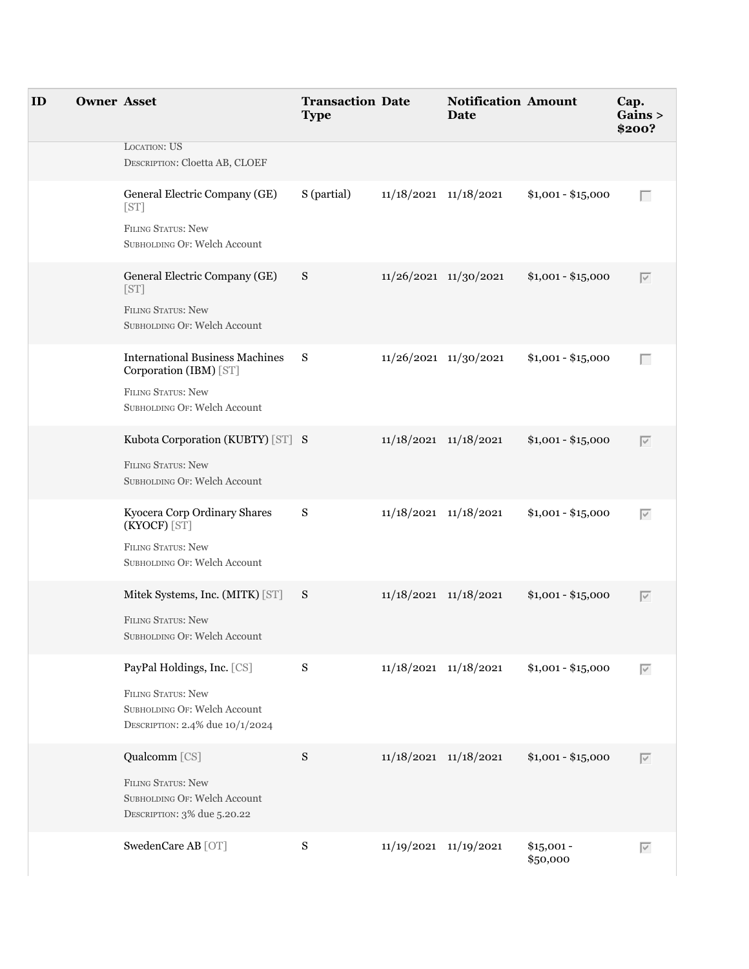| ID | <b>Owner Asset</b> |                                                                                                                               | <b>Transaction Date</b><br><b>Type</b> |                           | <b>Notification Amount</b><br><b>Date</b> |                         | Cap.<br>Gains ><br>\$200? |
|----|--------------------|-------------------------------------------------------------------------------------------------------------------------------|----------------------------------------|---------------------------|-------------------------------------------|-------------------------|---------------------------|
|    |                    | <b>LOCATION: US</b><br>DESCRIPTION: Cloetta AB, CLOEF                                                                         |                                        |                           |                                           |                         |                           |
|    |                    | General Electric Company (GE)<br>[ST]<br><b>FILING STATUS: New</b><br>SUBHOLDING OF: Welch Account                            | S (partial)                            | $11/18/2021$ $11/18/2021$ |                                           | $$1,001 - $15,000$      | Г                         |
|    |                    | General Electric Company (GE)<br>[ST]<br>FILING STATUS: New<br>SUBHOLDING OF: Welch Account                                   | S                                      | 11/26/2021 11/30/2021     |                                           | $$1,001 - $15,000$      | $\overline{\vee}$         |
|    |                    | <b>International Business Machines</b><br>Corporation (IBM) [ST]<br><b>FILING STATUS: New</b><br>SUBHOLDING OF: Welch Account | $\mathbf S$                            | 11/26/2021 11/30/2021     |                                           | $$1,001 - $15,000$      | Г                         |
|    |                    | Kubota Corporation (KUBTY) [ST] S<br><b>FILING STATUS: New</b><br>SUBHOLDING OF: Welch Account                                |                                        | $11/18/2021$ $11/18/2021$ |                                           | $$1,001 - $15,000$      | $\overline{\vee}$         |
|    |                    | Kyocera Corp Ordinary Shares<br>(KYOCF) [ST]<br><b>FILING STATUS: New</b><br>SUBHOLDING OF: Welch Account                     | S                                      | 11/18/2021 11/18/2021     |                                           | $$1,001 - $15,000$      | $\overline{\vee}$         |
|    |                    | Mitek Systems, Inc. (MITK) [ST] S<br>FILING STATUS: New<br>SUBHOLDING OF: Welch Account                                       |                                        | 11/18/2021 11/18/2021     |                                           | $$1,001 - $15,000$      | $\overline{\vee}$         |
|    |                    | PayPal Holdings, Inc. [CS]<br>FILING STATUS: New<br>SUBHOLDING OF: Welch Account<br>DESCRIPTION: 2.4% due 10/1/2024           | $S_{\mathcal{S}}$                      | $11/18/2021$ $11/18/2021$ |                                           | $$1,001 - $15,000$      | $\overline{\vee}$         |
|    |                    | Qualcomm [CS]<br>FILING STATUS: New<br>SUBHOLDING OF: Welch Account<br>DESCRIPTION: 3% due 5.20.22                            | ${\bf S}$                              | 11/18/2021 11/18/2021     |                                           | $$1,001 - $15,000$      | $\overline{\vee}$         |
|    |                    | SwedenCare AB [OT]                                                                                                            | ${\bf S}$                              | 11/19/2021 11/19/2021     |                                           | $$15,001 -$<br>\$50,000 | $\overline{\vee}$         |